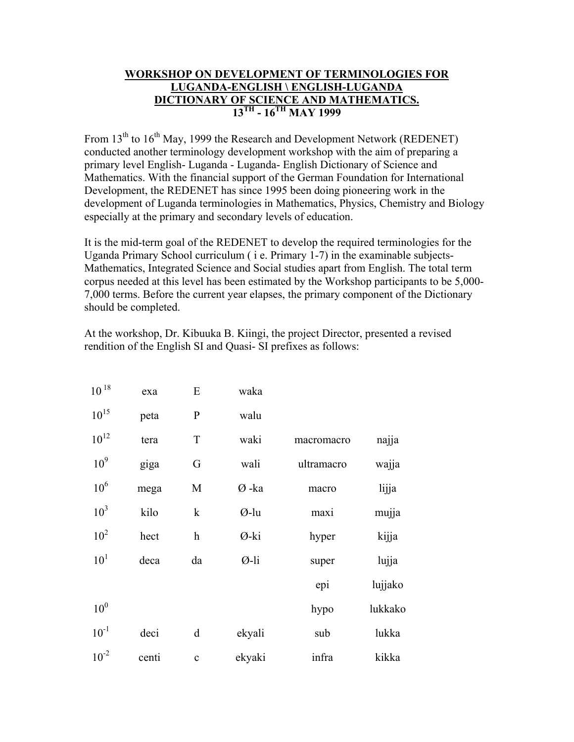## **WORKSHOP ON DEVELOPMENT OF TERMINOLOGIES FOR LUGANDA-ENGLISH \ ENGLISH-LUGANDA DICTIONARY OF SCIENCE AND MATHEMATICS. 13TH - 16TH MAY 1999**

From 13<sup>th</sup> to 16<sup>th</sup> May, 1999 the Research and Development Network (REDENET) conducted another terminology development workshop with the aim of preparing a primary level English- Luganda - Luganda- English Dictionary of Science and Mathematics. With the financial support of the German Foundation for International Development, the REDENET has since 1995 been doing pioneering work in the development of Luganda terminologies in Mathematics, Physics, Chemistry and Biology especially at the primary and secondary levels of education.

It is the mid-term goal of the REDENET to develop the required terminologies for the Uganda Primary School curriculum ( i e. Primary 1-7) in the examinable subjects-Mathematics, Integrated Science and Social studies apart from English. The total term corpus needed at this level has been estimated by the Workshop participants to be 5,000- 7,000 terms. Before the current year elapses, the primary component of the Dictionary should be completed.

At the workshop, Dr. Kibuuka B. Kiingi, the project Director, presented a revised rendition of the English SI and Quasi- SI prefixes as follows:

| $10^{18}$       | exa   | ${\bf E}$                 | waka   |            |         |
|-----------------|-------|---------------------------|--------|------------|---------|
| $10^{15}$       | peta  | ${\bf P}$                 | walu   |            |         |
| $10^{12}$       | tera  | $\mathbf T$               | waki   | macromacro | najja   |
| 10 <sup>9</sup> | giga  | G                         | wali   | ultramacro | wajja   |
| 10 <sup>6</sup> | mega  | M                         | Ø-ka   | macro      | lijja   |
| 10 <sup>3</sup> | kilo  | $\mathbf k$               | Ø-lu   | maxi       | mujja   |
| 10 <sup>2</sup> | hect  | $\boldsymbol{\mathrm{h}}$ | Ø-ki   | hyper      | kijja   |
| 10 <sup>1</sup> | deca  | da                        | Ø-li   | super      | lujja   |
|                 |       |                           |        | epi        | lujjako |
| 10 <sup>0</sup> |       |                           |        | hypo       | lukkako |
| $10^{-1}$       | deci  | d                         | ekyali | sub        | lukka   |
| $10^{-2}$       | centi | $\mathbf{C}$              | ekyaki | infra      | kikka   |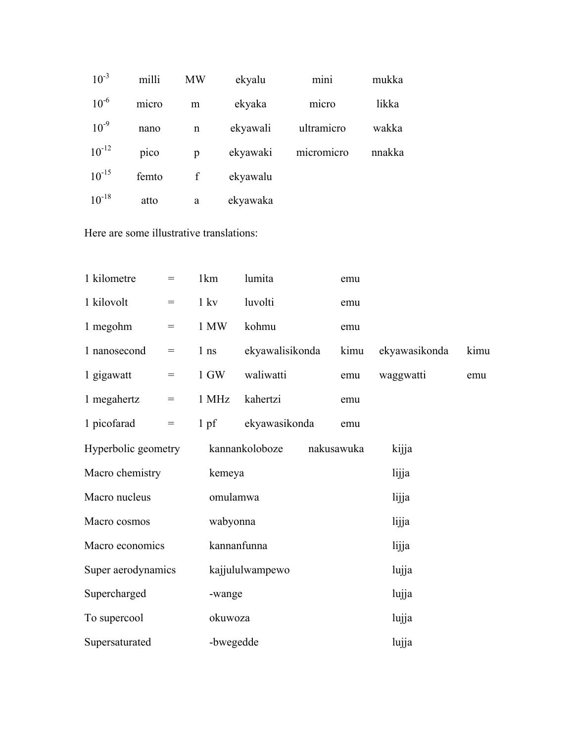| $10^{-3}$  | milli | <b>MW</b> | ekyalu   | mini       | mukka  |
|------------|-------|-----------|----------|------------|--------|
| $10^{-6}$  | micro | m         | ekyaka   | micro      | likka  |
| $10^{-9}$  | nano  | n         | ekyawali | ultramicro | wakka  |
| $10^{-12}$ | pico  | p         | ekyawaki | micromicro | nnakka |
| $10^{-15}$ | femto | f         | ekyawalu |            |        |
| $10^{-18}$ | atto  | a         | ekyawaka |            |        |

Here are some illustrative translations:

| 1 kilometre         | $=$                                 | 1km             | lumita          |  | emu        |               |      |  |
|---------------------|-------------------------------------|-----------------|-----------------|--|------------|---------------|------|--|
| 1 kilovolt          | $=$                                 | $1 \text{ kv}$  | luvolti         |  | emu        |               |      |  |
| 1 megohm            | $=$                                 | 1 MW            | kohmu           |  | emu        |               |      |  |
| 1 nanosecond        | $=$                                 | 1 <sub>ns</sub> | ekyawalisikonda |  | kimu       | ekyawasikonda | kimu |  |
| 1 gigawatt          | $=$                                 | 1 GW            | waliwatti       |  | emu        | waggwatti     | emu  |  |
| 1 megahertz         | $=$                                 | 1 MHz           | kahertzi        |  | emu        |               |      |  |
| 1 picofarad         | $\hspace*{0.4em} = \hspace*{0.4em}$ | 1 <sub>pf</sub> | ekyawasikonda   |  | emu        |               |      |  |
| Hyperbolic geometry |                                     |                 | kannankoloboze  |  | nakusawuka | kijja         |      |  |
| Macro chemistry     |                                     |                 | kemeya          |  | lijja      |               |      |  |
| Macro nucleus       |                                     |                 | omulamwa        |  | lijja      |               |      |  |
| Macro cosmos        |                                     |                 | wabyonna        |  | lijja      |               |      |  |
| Macro economics     |                                     |                 | kannanfunna     |  | lijja      |               |      |  |
| Super aerodynamics  |                                     |                 | kajjululwampewo |  | lujja      |               |      |  |
| Supercharged        |                                     |                 | -wange          |  | lujja      |               |      |  |
| To supercool        |                                     |                 | okuwoza         |  |            | lujja         |      |  |
| Supersaturated      |                                     |                 | -bwegedde       |  | lujja      |               |      |  |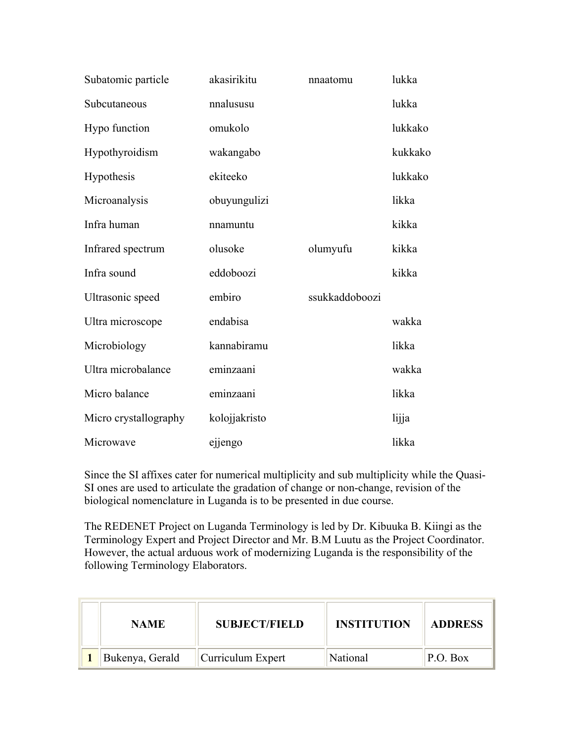| Subatomic particle    | akasirikitu   | nnaatomu       | lukka   |
|-----------------------|---------------|----------------|---------|
| Subcutaneous          | nnalususu     |                | lukka   |
| Hypo function         | omukolo       |                | lukkako |
| Hypothyroidism        | wakangabo     |                | kukkako |
| Hypothesis            | ekiteeko      |                | lukkako |
| Microanalysis         | obuyungulizi  |                | likka   |
| Infra human           | nnamuntu      |                | kikka   |
| Infrared spectrum     | olusoke       | olumyufu       | kikka   |
| Infra sound           | eddoboozi     |                | kikka   |
| Ultrasonic speed      | embiro        | ssukkaddoboozi |         |
| Ultra microscope      | endabisa      |                | wakka   |
| Microbiology          | kannabiramu   |                | likka   |
| Ultra microbalance    | eminzaani     |                | wakka   |
| Micro balance         | eminzaani     |                | likka   |
| Micro crystallography | kolojjakristo |                | lijja   |
| Microwave             | ejjengo       |                | likka   |

Since the SI affixes cater for numerical multiplicity and sub multiplicity while the Quasi-SI ones are used to articulate the gradation of change or non-change, revision of the biological nomenclature in Luganda is to be presented in due course.

The REDENET Project on Luganda Terminology is led by Dr. Kibuuka B. Kiingi as the Terminology Expert and Project Director and Mr. B.M Luutu as the Project Coordinator. However, the actual arduous work of modernizing Luganda is the responsibility of the following Terminology Elaborators.

| <b>NAME</b>     | <b>SUBJECT/FIELD</b> | <b>INSTITUTION</b> | <b>ADDRESS</b> |
|-----------------|----------------------|--------------------|----------------|
| Bukenya, Gerald | Curriculum Expert    | National           | P.O. Box       |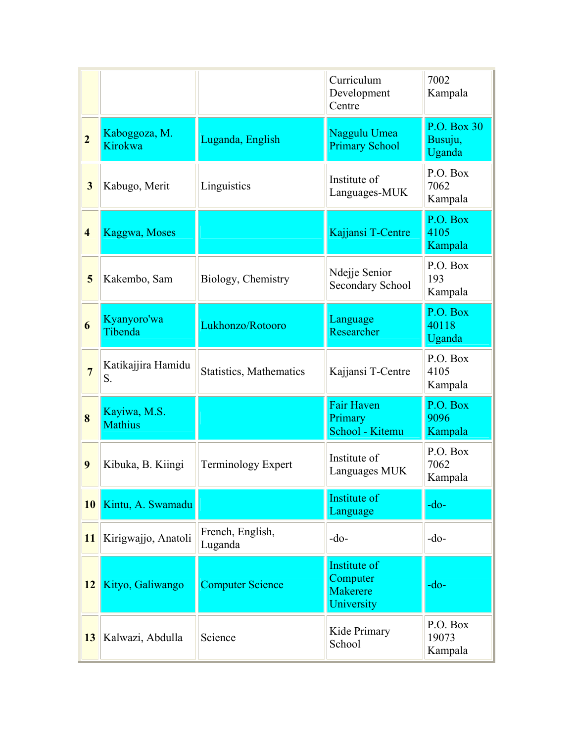|                         |                                |                             | Curriculum<br>Development<br>Centre                | 7002<br>Kampala                  |
|-------------------------|--------------------------------|-----------------------------|----------------------------------------------------|----------------------------------|
| $\overline{2}$          | Kaboggoza, M.<br>Kirokwa       | Luganda, English            | Naggulu Umea<br><b>Primary School</b>              | P.O. Box 30<br>Busuju,<br>Uganda |
| $\overline{\mathbf{3}}$ | Kabugo, Merit                  | Linguistics                 | Institute of<br>Languages-MUK                      | P.O. Box<br>7062<br>Kampala      |
| $\overline{\mathbf{4}}$ | Kaggwa, Moses                  |                             | Kajjansi T-Centre                                  | P.O. Box<br>4105<br>Kampala      |
| 5                       | Kakembo, Sam                   | Biology, Chemistry          | Ndejje Senior<br><b>Secondary School</b>           | P.O. Box<br>193<br>Kampala       |
| 6                       | Kyanyoro'wa<br>Tibenda         | Lukhonzo/Rotooro            | Language<br>Researcher                             | P.O. Box<br>40118<br>Uganda      |
| $\overline{7}$          | Katikajjira Hamidu<br>S.       | Statistics, Mathematics     | Kajjansi T-Centre                                  | P.O. Box<br>4105<br>Kampala      |
| 8                       | Kayiwa, M.S.<br><b>Mathius</b> |                             | <b>Fair Haven</b><br>Primary<br>School - Kitemu    | P.O. Box<br>9096<br>Kampala      |
| 9                       | Kibuka, B. Kiingi              | Terminology Expert          | Institute of<br>Languages MUK                      | P.O. Box<br>7062<br>Kampala      |
| 10                      | Kintu, A. Swamadu              |                             | Institute of<br>Language                           | $-do-$                           |
| 11                      | Kirigwajjo, Anatoli            | French, English,<br>Luganda | $-do-$                                             | $-do-$                           |
| 12                      | Kityo, Galiwango               | <b>Computer Science</b>     | Institute of<br>Computer<br>Makerere<br>University | $-do-$                           |
| 13                      | Kalwazi, Abdulla               | Science                     | Kide Primary<br>School                             | P.O. Box<br>19073<br>Kampala     |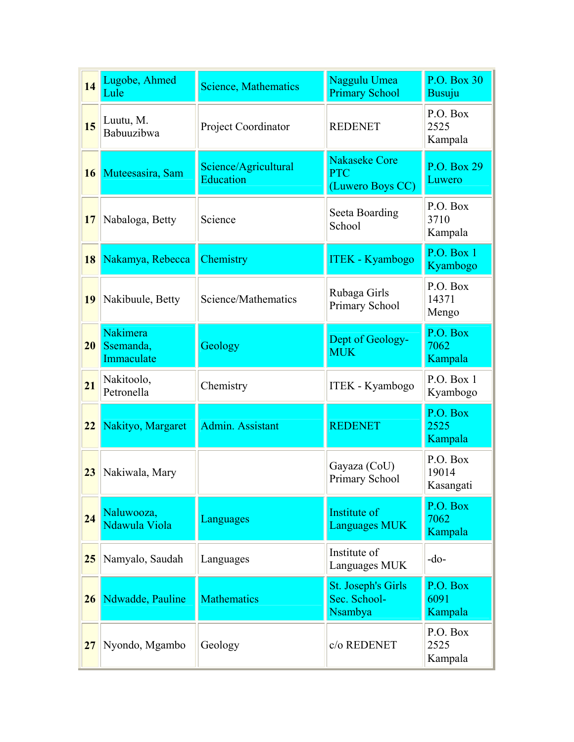| 14 | Lugobe, Ahmed<br>Lule               | <b>Science, Mathematics</b>       | Naggulu Umea<br><b>Primary School</b>                  | P.O. Box 30<br><b>Busuju</b>   |
|----|-------------------------------------|-----------------------------------|--------------------------------------------------------|--------------------------------|
| 15 | Luutu, M.<br>Babuuzibwa             | Project Coordinator               | <b>REDENET</b>                                         | P.O. Box<br>2525<br>Kampala    |
| 16 | Muteesasira, Sam                    | Science/Agricultural<br>Education | <b>Nakaseke Core</b><br><b>PTC</b><br>(Luwero Boys CC) | P.O. Box 29<br>Luwero          |
| 17 | Nabaloga, Betty                     | Science                           | Seeta Boarding<br>School                               | P.O. Box<br>3710<br>Kampala    |
| 18 | Nakamya, Rebecca                    | Chemistry                         | <b>ITEK - Kyambogo</b>                                 | P.O. Box 1<br>Kyambogo         |
| 19 | Nakibuule, Betty                    | Science/Mathematics               | Rubaga Girls<br>Primary School                         | P.O. Box<br>14371<br>Mengo     |
| 20 | Nakimera<br>Ssemanda,<br>Immaculate | Geology                           | Dept of Geology-<br><b>MUK</b>                         | P.O. Box<br>7062<br>Kampala    |
| 21 | Nakitoolo,<br>Petronella            | Chemistry                         | <b>ITEK - Kyambogo</b>                                 | P.O. Box 1<br>Kyambogo         |
| 22 | Nakityo, Margaret                   | Admin. Assistant                  | <b>REDENET</b>                                         | P.O. Box<br>2525<br>Kampala    |
| 23 | Nakiwala, Mary                      |                                   | Gayaza (CoU)<br>Primary School                         | P.O. Box<br>19014<br>Kasangati |
| 24 | Naluwooza,<br>Ndawula Viola         | Languages                         | Institute of<br><b>Languages MUK</b>                   | P.O. Box<br>7062<br>Kampala    |
| 25 | Namyalo, Saudah                     | Languages                         | Institute of<br>Languages MUK                          | $-do-$                         |
| 26 | Ndwadde, Pauline                    | <b>Mathematics</b>                | St. Joseph's Girls<br>Sec. School-<br>Nsambya          | P.O. Box<br>6091<br>Kampala    |
| 27 | Nyondo, Mgambo                      | Geology                           | c/o REDENET                                            | P.O. Box<br>2525<br>Kampala    |